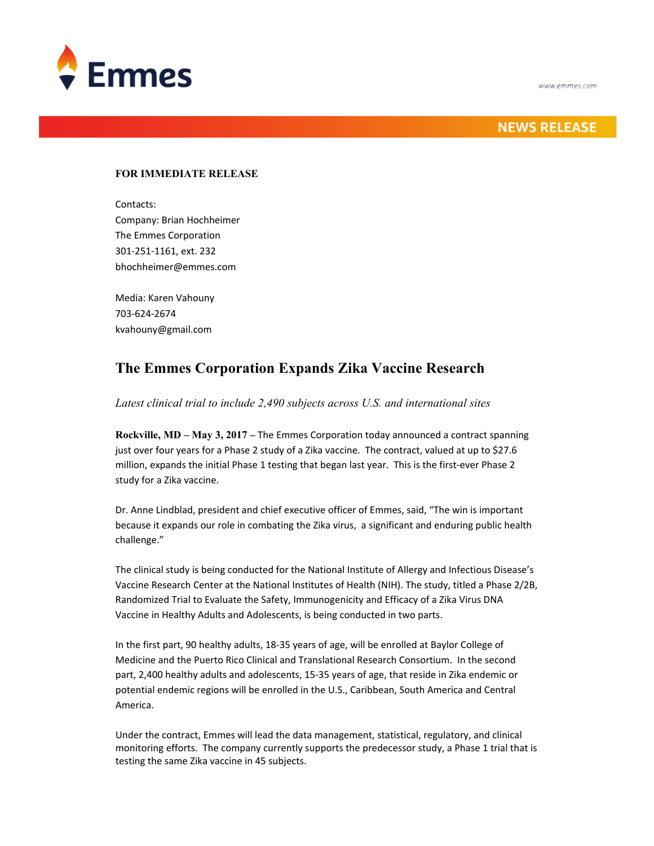

## **NEWS RELEASE**

## **FOR IMMEDIATE RELEASE**

Contacts: Company: Brian Hochheimer The Emmes Corporation 301-251-1161, ext. 232 bhochheimer@emmes.com

Media: Karen Vahouny 703-624-2674 kvahouny@gmail.com

## **The Emmes Corporation Expands Zika Vaccine Research**

*Latest clinical trial to include 2,490 subjects across U.S. and international sites*

**Rockville, MD – May 3, 2017 –** The Emmes Corporation today announced a contract spanning just over four years for a Phase 2 study of a Zika vaccine. The contract, valued at up to \$27.6 million, expands the initial Phase 1 testing that began last year. This is the first-ever Phase 2 study for a Zika vaccine.

Dr. Anne Lindblad, president and chief executive officer of Emmes, said, "The win is important because it expands our role in combating the Zika virus, a significant and enduring public health challenge."

The clinical study is being conducted for the National Institute of Allergy and Infectious Disease's Vaccine Research Center at the National Institutes of Health (NIH). The study, titled a Phase 2/2B, Randomized Trial to Evaluate the Safety, Immunogenicity and Efficacy of a Zika Virus DNA Vaccine in Healthy Adults and Adolescents, is being conducted in two parts.

In the first part, 90 healthy adults, 18-35 years of age, will be enrolled at Baylor College of Medicine and the Puerto Rico Clinical and Translational Research Consortium. In the second part, 2,400 healthy adults and adolescents, 15-35 years of age, that reside in Zika endemic or potential endemic regions will be enrolled in the U.S., Caribbean, South America and Central America.

Under the contract, Emmes will lead the data management, statistical, regulatory, and clinical monitoring efforts. The company currently supports the predecessor study, a Phase 1 trial that is testing the same Zika vaccine in 45 subjects.